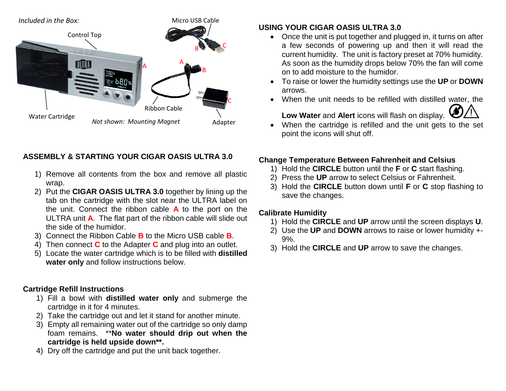

## **ASSEMBLY & STARTING YOUR CIGAR OASIS ULTRA 3.0**

- 1) Remove all contents from the box and remove all plastic wrap.
- 2) Put the **CIGAR OASIS ULTRA 3.0** together by lining up the tab on the cartridge with the slot near the ULTRA label on the unit. Connect the ribbon cable **A** to the port on the ULTRA unit **A**. The flat part of the ribbon cable will slide out the side of the humidor.
- 3) Connect the Ribbon Cable **B** to the Micro USB cable **B**.
- 4) Then connect **C** to the Adapter **C** and plug into an outlet.
- 5) Locate the water cartridge which is to be filled with **distilled water only** and follow instructions below.

## **Cartridge Refill Instructions**

- 1) Fill a bowl with **distilled water only** and submerge the cartridge in it for 4 minutes.
- 2) Take the cartridge out and let it stand for another minute.
- 3) Empty all remaining water out of the cartridge so only damp foam remains. \*\***No water should drip out when the cartridge is held upside down\*\*.**
- 4) Dry off the cartridge and put the unit back together.

## **USING YOUR CIGAR OASIS ULTRA 3.0**

- Once the unit is put together and plugged in, it turns on after a few seconds of powering up and then it will read the current humidity. The unit is factory preset at 70% humidity. As soon as the humidity drops below 70% the fan will come on to add moisture to the humidor.
- To raise or lower the humidity settings use the **UP** or **DOWN** arrows.
- When the unit needs to be refilled with distilled water, the



 When the cartridge is refilled and the unit gets to the set point the icons will shut off.

# **Change Temperature Between Fahrenheit and Celsius**

- 1) Hold the **CIRCLE** button until the **F** or **C** start flashing.
- 2) Press the **UP** arrow to select Celsius or Fahrenheit.
- 3) Hold the **CIRCLE** button down until **F** or **C** stop flashing to save the changes.

## **Calibrate Humidity**

- 1) Hold the **CIRCLE** and **UP** arrow until the screen displays **U**.
- 2) Use the **UP** and **DOWN** arrows to raise or lower humidity +- 9%.
- 3) Hold the **CIRCLE** and **UP** arrow to save the changes.